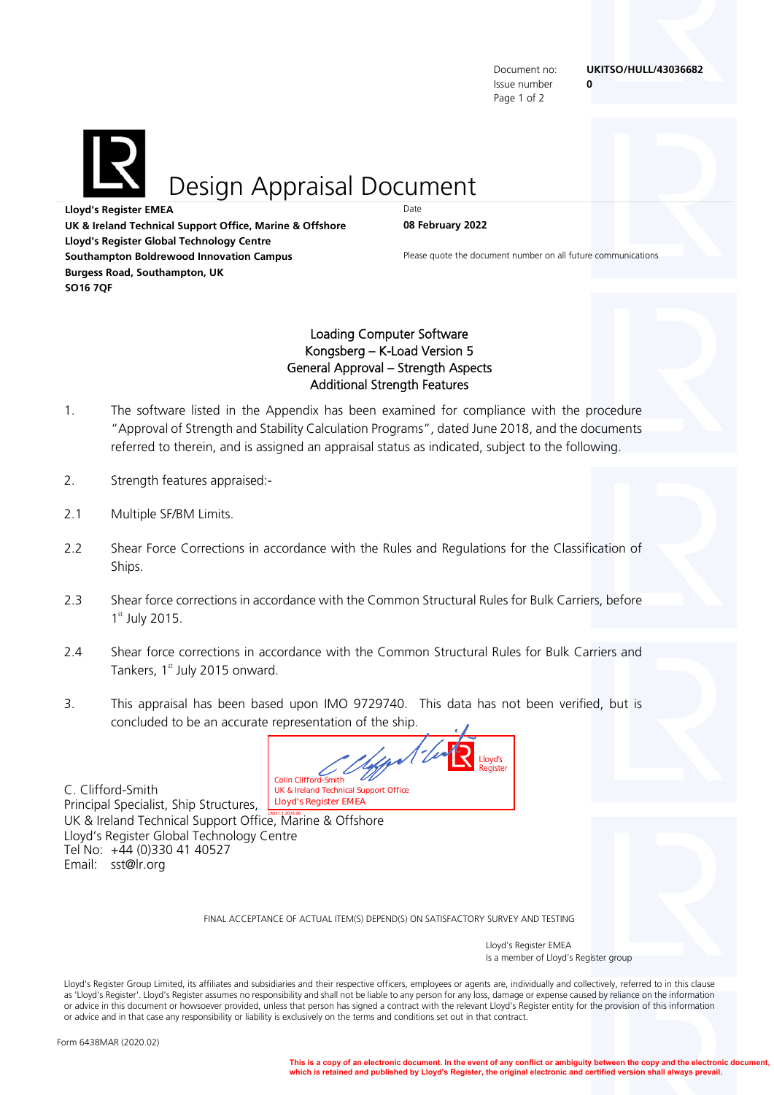Issue number **0**  Page 1 of 2

Document no: **UKITSO/HULL/43036682** 

Design Appraisal Document

**Lloyd's Register EMEA** Date **UK & Ireland Technical Support Office, Marine & Offshore 08 February 2022 Lloyd's Register Global Technology Centre Southampton Boldrewood Innovation Campus Campus** Please quote the document number on all future communications **Burgess Road, Southampton, UK SO16 7QF** 

## Loading Computer Software Kongsberg – K-Load Version 5 General Approval – Strength Aspects Additional Strength Features

- 1. The software listed in the Appendix has been examined for compliance with the procedure "Approval of Strength and Stability Calculation Programs", dated June 2018, and the documents referred to therein, and is assigned an appraisal status as indicated, subject to the following.
- 2. Strength features appraised:-
- 2.1 Multiple SF/BM Limits.
- 2.2 Shear Force Corrections in accordance with the Rules and Regulations for the Classification of Ships.
- 2.3 Shear force corrections in accordance with the Common Structural Rules for Bulk Carriers, before  $1<sup>st</sup>$  July 2015.
- 2.4 Shear force corrections in accordance with the Common Structural Rules for Bulk Carriers and Tankers,  $1<sup>st</sup>$  July 2015 onward.
- 3. This appraisal has been based upon IMO 9729740. This data has not been verified, but is concluded to be an accurate representation of the ship.

Colin Clifford-Smith<br>UK & Ireland Technical Support Office<br>**Lloyd's Register EMEA** 

C. Clifford-Smith Principal Specialist, Ship Structures, UK & Ireland Technical Support Office, Marine & Offshore Lloyd's Register Global Technology Centre Tel No: +44 (0)330 41 40527 Email: sst@lr.org

FINAL ACCEPTANCE OF ACTUAL ITEM(S) DEPEND(S) ON SATISFACTORY SURVEY AND TESTING

 Lloyd's Register EMEA Is a member of Lloyd's Register group

Lloyd's Register Group Limited, its affiliates and subsidiaries and their respective officers, employees or agents are, individually and collectively, referred to in this clause as 'Lloyd's Register'. Lloyd's Register assumes no responsibility and shall not be liable to any person for any loss, damage or expense caused by reliance on the information or advice in this document or howsoever provided, unless that person has signed a contract with the relevant Lloyd's Register entity for the provision of this information or advice and in that case any responsibility or liability is exclusively on the terms and conditions set out in that contract.